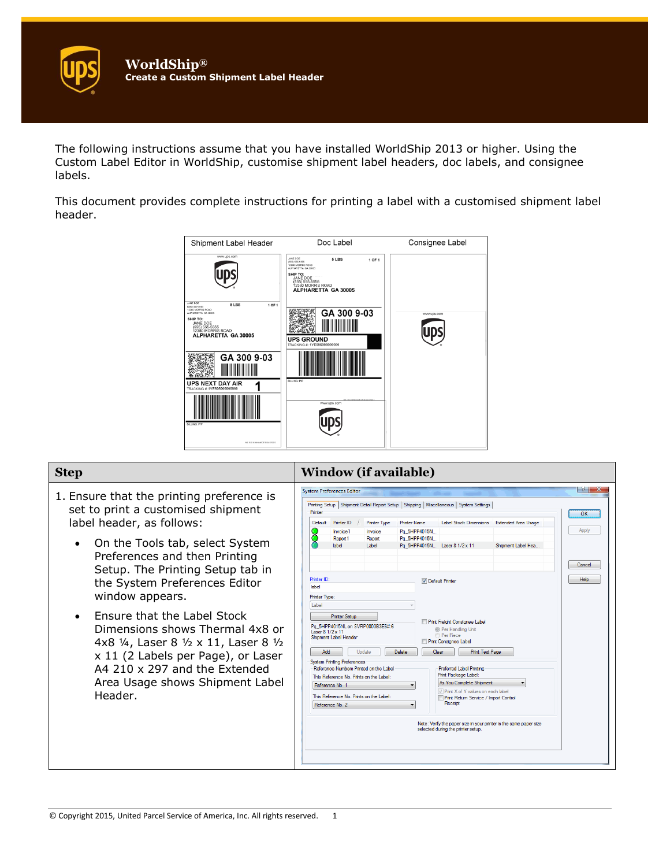The following instructions assume that you have installed WorldShip 2013 or higher. Using the Custom Label Editor in WorldShip, customise shipment label headers, doc labels, and consignee labels.

This document provides complete instructions for printing a label with a customised shipment label header.



| <b>Step</b>                                                                                                                                                                                                                                                                                                                                                                                                                                                                                               | <b>Window (if available)</b>                                                                                                                                                                                                                                                                                                                                                                                                                                                                                                                                                                                                                                                                                                                                                                                                                                                                                                                                                                                                                                                                                                                                                                                                                                                                                                                                                             |
|-----------------------------------------------------------------------------------------------------------------------------------------------------------------------------------------------------------------------------------------------------------------------------------------------------------------------------------------------------------------------------------------------------------------------------------------------------------------------------------------------------------|------------------------------------------------------------------------------------------------------------------------------------------------------------------------------------------------------------------------------------------------------------------------------------------------------------------------------------------------------------------------------------------------------------------------------------------------------------------------------------------------------------------------------------------------------------------------------------------------------------------------------------------------------------------------------------------------------------------------------------------------------------------------------------------------------------------------------------------------------------------------------------------------------------------------------------------------------------------------------------------------------------------------------------------------------------------------------------------------------------------------------------------------------------------------------------------------------------------------------------------------------------------------------------------------------------------------------------------------------------------------------------------|
| 1. Ensure that the printing preference is<br>set to print a customised shipment<br>label header, as follows:<br>On the Tools tab, select System<br>Preferences and then Printing<br>Setup. The Printing Setup tab in<br>the System Preferences Editor<br>window appears.<br>Ensure that the Label Stock<br>Dimensions shows Thermal 4x8 or<br>4x8 1/4, Laser 8 1/2 x 11, Laser 8 1/2<br>x 11 (2 Labels per Page), or Laser<br>A4 210 x 297 and the Extended<br>Area Usage shows Shipment Label<br>Header. | - 8 - 11<br><b>System Preferences Editor</b><br>Printing Setup   Shipment Detail Report Setup   Shipping   Miscellaneous   System Settings  <br>Printer<br>OK<br>Default<br>Printer ID<br><b>Printer Name</b><br><b>Label Stock Dimensions</b><br><b>Extended Area Usage</b><br><b>Printer Type</b><br>Apply<br>Pa 5HPP4015N<br>Invoice1<br>Invoice<br>Pq 5HPP4015N<br>Report <sub>1</sub><br>Report<br>label<br>Label<br>Pq 5HPP4015N Laser 8 1/2 x 11<br>Shioment Label Hea.<br>Cancel<br><b>Help</b><br>Printer ID<br>Default Printer<br>lahel<br>Printer Type:<br>Label<br><b>Printer Setup</b><br>Print Freight Consignee Label<br>Pa 5HPP4015NL on SVRP0003B3E6#:6<br><sup>O</sup> Per Handling Unit<br>Laser 8 1/2 x 11<br><b>Per Piece</b><br>Shipment Label Header<br><b>Print Consignee Label</b><br>Add<br>Update<br><b>Delete</b><br>Clear<br>Print Test Page<br><b>System Printing Preferences</b><br>Reference Numbers Printed on the Label<br><b>Preferred Label Printing</b><br>Print Package Label:<br>This Reference No. Prints on the Label:<br>As You Complete Shipment<br>Reference No. 1<br>Print X of Y values on each label<br>This Reference No. Prints on the Label:<br><b>Print Return Service / Import Control</b><br>Receipt<br>Reference No. 2<br>Note: Verify the paper size in your printer is the same paper size<br>selected during the printer setup. |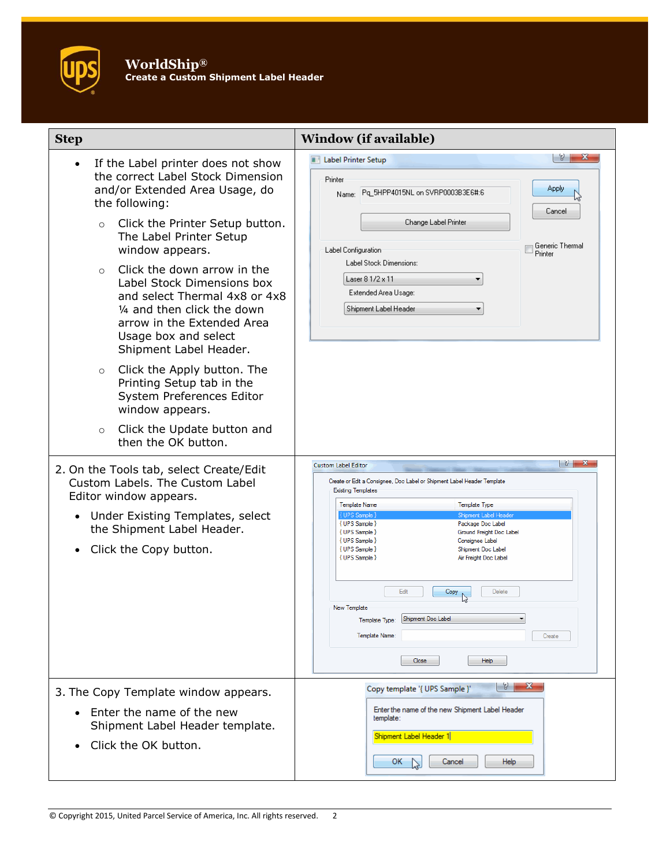

| <b>Step</b>                                                                                                                                                                                                                                                                                                                                                                                                                                                                                                                                                                                                                                                                                                                                                                                                                                                 | <b>Window (if available)</b>                                                                                                                                                                                                                                                                                                                                                                                                                                                                                                                                                                                                                                                                                                                                                   |
|-------------------------------------------------------------------------------------------------------------------------------------------------------------------------------------------------------------------------------------------------------------------------------------------------------------------------------------------------------------------------------------------------------------------------------------------------------------------------------------------------------------------------------------------------------------------------------------------------------------------------------------------------------------------------------------------------------------------------------------------------------------------------------------------------------------------------------------------------------------|--------------------------------------------------------------------------------------------------------------------------------------------------------------------------------------------------------------------------------------------------------------------------------------------------------------------------------------------------------------------------------------------------------------------------------------------------------------------------------------------------------------------------------------------------------------------------------------------------------------------------------------------------------------------------------------------------------------------------------------------------------------------------------|
| If the Label printer does not show<br>the correct Label Stock Dimension<br>and/or Extended Area Usage, do<br>the following:<br>Click the Printer Setup button.<br>$\circ$<br>The Label Printer Setup<br>window appears.<br>Click the down arrow in the<br>$\bigcirc$<br>Label Stock Dimensions box<br>and select Thermal 4x8 or 4x8<br>1/4 and then click the down<br>arrow in the Extended Area<br>Usage box and select<br>Shipment Label Header.<br>Click the Apply button. The<br>$\circ$<br>Printing Setup tab in the<br>System Preferences Editor<br>window appears.<br>Click the Update button and<br>$\circ$<br>then the OK button.<br>2. On the Tools tab, select Create/Edit<br>Custom Labels, The Custom Label<br>Editor window appears.<br>Under Existing Templates, select<br>$\bullet$<br>the Shipment Label Header.<br>Click the Copy button. | 8   <br>$\mathbf{x}$<br><b>III</b> Label Printer Setup<br>Printer<br>Apply<br>Pq 5HPP4015NL on SVRP0003B3E6#:6<br>Name:<br>Cancel<br>Change Label Printer<br>Generic Thermal<br>Label Configuration<br>Printer<br>Label Stock Dimensions:<br>Laser 8 1/2 x 11<br>Extended Area Usage:<br>Shipment Label Header<br>$  \theta  $ X<br><b>Custom Label Editor</b><br>Create or Edit a Consignee, Doc Label or Shipment Label Header Template<br><b>Existing Templates</b><br><b>Template Name</b><br><b>Template Type</b><br>{ UPS Sample }<br>Shipment Label Header<br>{ UPS Sample }<br>Package Doc Label<br>{ UPS Sample }<br>Ground Freight Doc Label<br>{ UPS Sample }<br>Consignee Label<br>{ UPS Sample }<br>Shipment Doc Label<br>{ UPS Sample }<br>Air Freight Doc Label |
|                                                                                                                                                                                                                                                                                                                                                                                                                                                                                                                                                                                                                                                                                                                                                                                                                                                             | Edit<br>Delete<br>Copy<br>New Template<br>Template Type:<br>Shipment Doc Label<br>Template Name:<br>Create<br>Close<br>Help                                                                                                                                                                                                                                                                                                                                                                                                                                                                                                                                                                                                                                                    |
| 3. The Copy Template window appears.<br>Enter the name of the new<br>Shipment Label Header template.<br>Click the OK button.                                                                                                                                                                                                                                                                                                                                                                                                                                                                                                                                                                                                                                                                                                                                | $\frac{9}{8}$<br>$\mathbf{x}$<br>Copy template '{ UPS Sample }'<br>Enter the name of the new Shipment Label Header<br>template:<br>Shipment Label Header 1<br>OK.<br>Cancel<br>Help                                                                                                                                                                                                                                                                                                                                                                                                                                                                                                                                                                                            |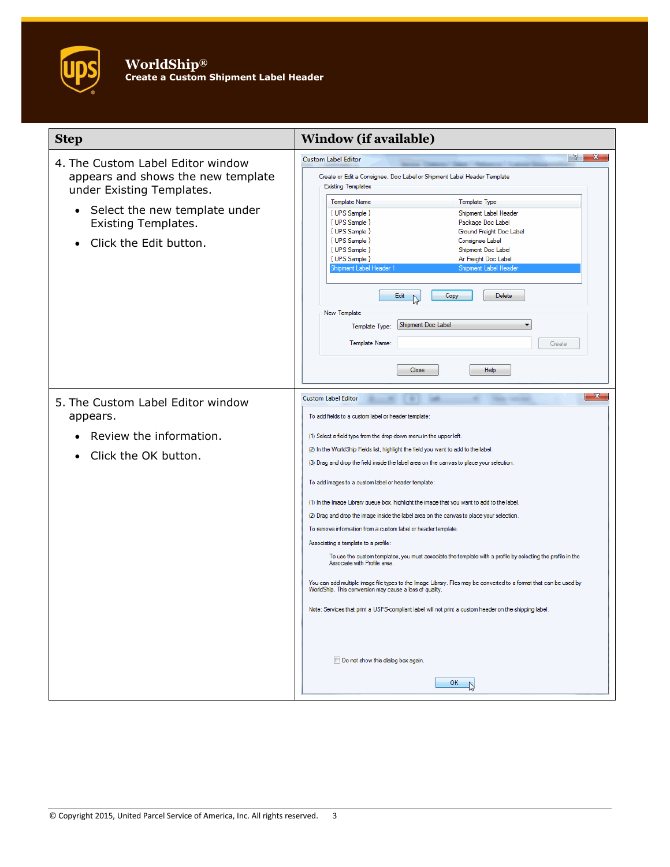## **WorldShip® Create a Custom Shipment Label Header**

| <b>Step</b>                                                                                                                                                                                                | <b>Window (if available)</b>                                                                                                                                                                                                                                                                                                                                                                                                                                                                                                                                                                                                                                                                                                                                                                                                                                                                                                                                                                                                                                                                                                                                                                              |
|------------------------------------------------------------------------------------------------------------------------------------------------------------------------------------------------------------|-----------------------------------------------------------------------------------------------------------------------------------------------------------------------------------------------------------------------------------------------------------------------------------------------------------------------------------------------------------------------------------------------------------------------------------------------------------------------------------------------------------------------------------------------------------------------------------------------------------------------------------------------------------------------------------------------------------------------------------------------------------------------------------------------------------------------------------------------------------------------------------------------------------------------------------------------------------------------------------------------------------------------------------------------------------------------------------------------------------------------------------------------------------------------------------------------------------|
| 4. The Custom Label Editor window<br>appears and shows the new template<br>under Existing Templates.<br>Select the new template under<br>$\bullet$<br><b>Existing Templates.</b><br>Click the Edit button. | $ S  = \mathbf{X}$<br><b>Custom Label Editor</b><br>Create or Edit a Consignee, Doc Label or Shipment Label Header Template<br><b>Existing Templates</b><br><b>Template Name</b><br><b>Template Type</b><br>{ UPS Sample }<br>Shipment Label Header<br>{ UPS Sample }<br>Package Doc Label<br>{ UPS Sample }<br>Ground Freight Doc Label<br>{ UPS Sample }<br>Consignee Label<br>{ UPS Sample }<br>Shipment Doc Label<br>{ UPS Sample }<br>Air Freight Doc Label<br>Shipment Label Header 1<br>Shipment Label Header<br>Edit<br>Copy<br>Delete<br>New Template<br>Shipment Doc Label<br>Template Type:<br>Template Name:<br>Create<br>Close<br>Help                                                                                                                                                                                                                                                                                                                                                                                                                                                                                                                                                       |
| 5. The Custom Label Editor window<br>appears.<br>Review the information.<br>Click the OK button.                                                                                                           | $\mathbf{x}$<br><b>Custom Label Editor</b><br>To add fields to a custom label or header template:<br>(1) Select a field type from the drop-down menu in the upper left.<br>(2) In the WorldShip Fields list, highlight the field you want to add to the label.<br>(3) Drag and drop the field inside the label area on the canvas to place your selection.<br>To add images to a custom label or header template:<br>(1) In the Image Library queue box, highlight the image that you want to add to the label.<br>(2) Drag and drop the image inside the label area on the canvas to place your selection.<br>To remove information from a custom label or header template:<br>Associating a template to a profile:<br>To use the custom templates, you must associate the template with a profile by selecting the profile in the<br>Associate with Profile area<br>You can add multiple image file types to the Image Library. Files may be converted to a format that can be used by<br>WorldShip. This conversion may cause a loss of quality.<br>Note: Services that print a USPS-compliant label will not print a custom header on the shipping label.<br>Do not show this dialog box again.<br>OK |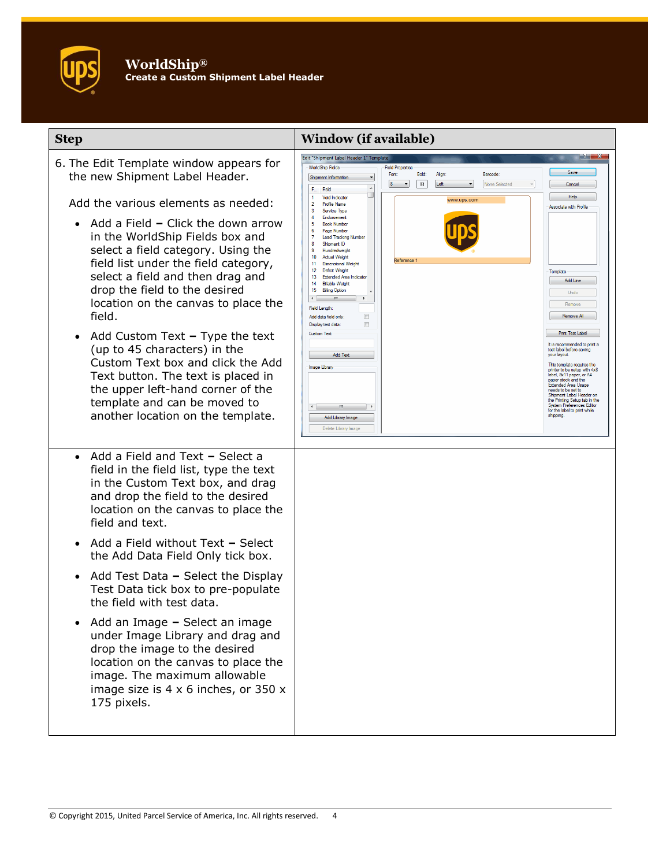